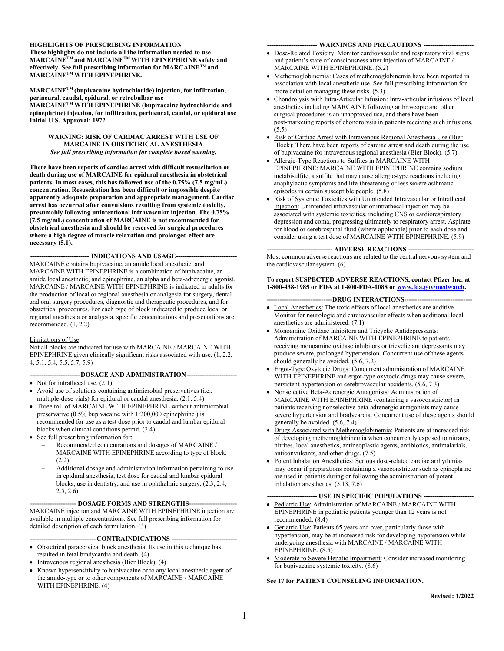**HIGHLIGHTS OF PRESCRIBING INFORMATION These highlights do not include all the information needed to use MARCAINETM and MARCAINETMWITH EPINEPHRINE safely and effectively. See full prescribing information for MARCAINETM and MARCAINETM WITH EPINEPHRINE.**

**MARCAINETM (bupivacaine hydrochloride) injection, for infiltration, perineural, caudal, epidural, or retrobulbar use MARCAINETM WITH EPINEPHRINE (bupivacaine hydrochloride and epinephrine) injection, for infiltration, perineural, caudal, or epidural use Initial U.S. Approval: 1972**

#### **WARNING: RISK OF CARDIAC ARREST WITH USE OF MARCAINE IN OBSTETRICAL ANESTHESIA** *See full prescribing information for complete boxed warning.*

**There have been reports of cardiac arrest with difficult resuscitation or death during use of MARCAINE for epidural anesthesia in obstetrical patients. In most cases, this has followed use of the 0.75% (7.5 mg/mL) concentration. Resuscitation has been difficult or impossible despite apparently adequate preparation and appropriate management. Cardiac arrest has occurred after convulsions resulting from systemic toxicity, presumably following unintentional intravascular injection. The 0.75% (7.5 mg/mL) concentration of MARCAINE is not recommended for obstetrical anesthesia and should be reserved for surgical procedures where a high degree of muscle relaxation and prolonged effect are necessary (5.1).**

-- **INDICATIONS AND USAGE--**MARCAINE contains bupivacaine, an amide local anesthetic, and MARCAINE WITH EPINEPHRINE is a combination of bupivacaine, an amide local anesthetic, and epinephrine, an alpha and beta-adrenergic agonist. MARCAINE / MARCAINE WITH EPINEPHRINE is indicated in adults for the production of local or regional anesthesia or analgesia for surgery, dental and oral surgery procedures, diagnostic and therapeutic procedures, and for obstetrical procedures. For each type of block indicated to produce local or regional anesthesia or analgesia, specific concentrations and presentations are recommended. (1, 2.2)

#### Limitations of Use

Not all blocks are indicated for use with MARCAINE / MARCAINE WITH EPINEPHRINE given clinically significant risks associated with use. (1, 2.2, 4, 5.1, 5.4, 5.5, 5.7, 5.9)

#### **-----------------------DOSAGE AND ADMINISTRATION-----------------------**

- Not for intrathecal use.  $(2.1)$
- Avoid use of solutions containing antimicrobial preservatives (i.e., multiple-dose vials) for epidural or caudal anesthesia. (2.1, 5.4)
- Three mL of MARCAINE WITH EPINEPHRINE without antimicrobial preservative (0.5% bupivacaine with 1:200,000 epinephrine ) is recommended for use as a test dose prior to caudal and lumbar epidural blocks when clinical conditions permit. (2.4)
- See full prescribing information for:
	- Recommended concentrations and dosages of MARCAINE / MARCAINE WITH EPINEPHRINE according to type of block. (2.2)
	- Additional dosage and administration information pertaining to use in epidural anesthesia, test dose for caudal and lumbar epidural blocks, use in dentistry, and use in ophthalmic surgery. (2.3, 2.4, 2.5, 2.6)

#### -- **DOSAGE FORMS AND STRENGTHS----**

MARCAINE injection and MARCAINE WITH EPINEPHRINE injection are available in multiple concentrations. See full prescribing information for detailed description of each formulation. (3)

--- **CONTRAINDICATIONS** ---

- Obstetrical paracervical block anesthesia. Its use in this technique has resulted in fetal bradycardia and death. (4)
- $\bullet$  Intravenous regional anesthesia (Bier Block). (4)
- Known hypersensitivity to bupivacaine or to any local anesthetic agent of the amide-type or to other components of MARCAINE / MARCAINE WITH EPINEPHRINE. (4)

#### **----------------------- WARNINGS AND PRECAUTIONS -----------------------**

- Dose-Related Toxicity: Monitor cardiovascular and respiratory vital signs and patient's state of consciousness after injection of MARCAINE / MARCAINE WITH EPINEPHRINE. (5.2)
- Methemoglobinemia: Cases of methemoglobinemia have been reported in association with local anesthetic use. See full prescribing information for more detail on managing these risks. (5.3)
- Chondrolysis with Intra-Articular Infusion: Intra-articular infusions of local anesthetics including MARCAINE following arthroscopic and other surgical procedures is an unapproved use, and there have been post-marketing reports of chondrolysis in patients receiving such infusions. (5.5)
- Risk of Cardiac Arrest with Intravenous Regional Anesthesia Use (Bier Block): There have been reports of cardiac arrest and death during the use of bupivacaine for intravenous regional anesthesia (Bier Block). (5.7)
- Allergic-Type Reactions to Sulfites in MARCAINE WITH EPINEPHRINE: MARCAINE WITH EPINEPHRINE contains sodium metabisulfite, a sulfite that may cause allergic-type reactions including anaphylactic symptoms and life-threatening or less severe asthmatic episodes in certain susceptible people. (5.8)
- Risk of Systemic Toxicities with Unintended Intravascular or Intrathecal Injection: Unintended intravascular or intrathecal injection may be associated with systemic toxicities, including CNS or cardiorespiratory depression and coma, progressing ultimately to respiratory arrest. Aspirate for blood or cerebrospinal fluid (where applicable) prior to each dose and consider using a test dose of MARCAINE WITH EPINEPHRINE. (5.9)

**------------------------------ ADVERSE REACTIONS ------------------------------** Most common adverse reactions are related to the central nervous system and the cardiovascular system. (6)

#### **To report SUSPECTED ADVERSE REACTIONS, contact Pfizer Inc. at 1-800-438-1985 or FDA at 1-800-FDA-1088 or [www.fda.gov/medwatch](http://www.fda.gov/medwatch).**

#### **------------------------------DRUG INTERACTIONS-------------------------------**

- Local Anesthetics: The toxic effects of local anesthetics are additive. Monitor for neurologic and cardiovascular effects when additional local anesthetics are administered. (7.1)
- Monoamine Oxidase Inhibitors and Tricyclic Antidepressants: Administration of MARCAINE WITH EPINEPHRINE to patients receiving monoamine oxidase inhibitors or tricyclic antidepressants may produce severe, prolonged hypertension. Concurrent use of these agents should generally be avoided. (5.6, 7.2)
- Ergot-Type Oxytocic Drugs: Concurrent administration of MARCAINE WITH EPINEPHRINE and ergot-type oxytocic drugs may cause severe, persistent hypertension or cerebrovascular accidents. (5.6, 7.3)
- Nonselective Beta-Adrenergic Antagonists: Administration of MARCAINE WITH EPINEPHRINE (containing a vasoconstrictor) in patients receiving nonselective beta-adrenergic antagonists may cause severe hypertension and bradycardia. Concurrent use of these agents should generally be avoided. (5.6, 7.4)
- Drugs Associated with Methemoglobinemia: Patients are at increased risk of developing methemoglobinemia when concurrently exposed to nitrates, nitrites, local anesthetics, antineoplastic agents, antibiotics, antimalarials, anticonvulsants, and other drugs. (7.5)
- Potent Inhalation Anesthetics: Serious dose-related cardiac arrhythmias may occur if preparations containing a vasoconstrictor such as epinephrine are used in patients during or following the administration of potent inhalation anesthetics. (5.13, 7.6)

#### --- USE IN SPECIFIC POPULATIONS --

- Pediatric Use: Administration of MARCAINE / MARCAINE WITH EPINEPHRINE in pediatric patients younger than 12 years is not recommended. (8.4)
- Geriatric Use: Patients 65 years and over, particularly those with hypertension, may be at increased risk for developing hypotension while undergoing anesthesia with MARCAINE / MARCAINE WITH EPINEPHRINE. (8.5)
- Moderate to Severe Hepatic Impairment: Consider increased monitoring for bupivacaine systemic toxicity. (8.6)

#### **See 17 for PATIENT COUNSELING INFORMATION.**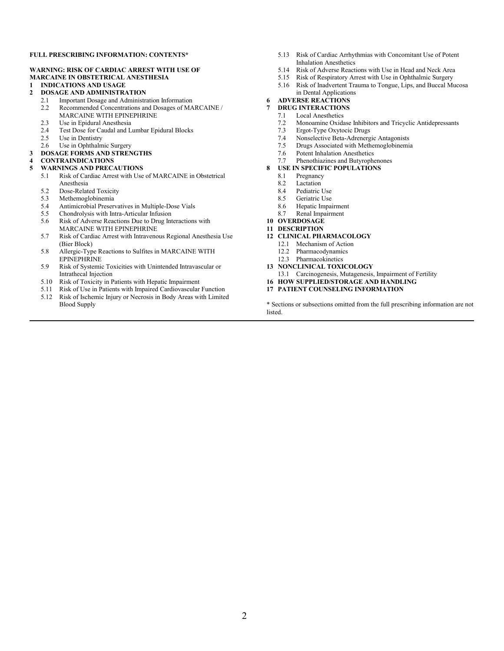#### **FULL PRESCRIBING INFORMATION: CONTENTS\***

#### **WARNING: RISK OF CARDIAC ARREST WITH USE OF MARCAINE IN OBSTETRICAL ANESTHESIA**

#### **1 INDICATIONS AND USAGE**

- **2 DOSAGE AND ADMINISTRATION**
	- Important Dosage and Administration Information
	- 2.2 Recommended Concentrations and Dosages of MARCAINE / MARCAINE WITH EPINEPHRINE
	- 2.3 Use in Epidural Anesthesia<br>2.4 Test Dose for Caudal and L
	- Test Dose for Caudal and Lumbar Epidural Blocks
	- 2.5 Use in Dentistry
	- 2.6 Use in Ophthalmic Surgery
- **3 DOSAGE FORMS AND STRENGTHS**

#### **4 CONTRAINDICATIONS**

#### **5 WARNINGS AND PRECAUTIONS**

- 5.1 Risk of Cardiac Arrest with Use of MARCAINE in Obstetrical Anesthesia
- 5.2 Dose-Related Toxicity<br>5.3 Methemoglobinemia
- 5.3 Methemoglobinemia
- 5.4 Antimicrobial Preservatives in Multiple-Dose Vials<br>5.5 Chondrolysis with Intra-Articular Infusion
- 5.5 Chondrolysis with Intra-Articular Infusion 5.6 Risk of Adverse Reactions Due to Drug Interactions with
- MARCAINE WITH EPINEPHRINE
- 5.7 Risk of Cardiac Arrest with Intravenous Regional Anesthesia Use (Bier Block)
- 5.8 Allergic-Type Reactions to Sulfites in MARCAINE WITH EPINEPHRINE
- 5.9 Risk of Systemic Toxicities with Unintended Intravascular or Intrathecal Injection
- 5.10 Risk of Toxicity in Patients with Hepatic Impairment
- 5.11 Risk of Use in Patients with Impaired Cardiovascular Function<br>5.12 Risk of Ischemic Injury or Necrosis in Body Areas with Limited
- 5.12 Risk of Ischemic Injury or Necrosis in Body Areas with Limited Blood Supply
- 5.13 Risk of Cardiac Arrhythmias with Concomitant Use of Potent Inhalation Anesthetics
- 5.14 Risk of Adverse Reactions with Use in Head and Neck Area<br>5.15 Risk of Respiratory Arrest with Use in Ophthalmic Surgery
- 5.15 Risk of Respiratory Arrest with Use in Ophthalmic Surgery 5.16 Risk of Inadvertent Trauma to Tongue, Lips, and Buccal M
- 5.16 Risk of Inadvertent Trauma to Tongue, Lips, and Buccal Mucosa in Dental Applications

#### **6 ADVERSE REACTIONS**

- **7 DRUG INTERACTIONS**
	- 7.1 Local Anesthetics
	- 7.2 Monoamine Oxidase Inhibitors and Tricyclic Antidepressants<br>7.3 Ergot-Type Oxytocic Drugs
	- Ergot-Type Oxytocic Drugs
	- 7.4 Nonselective Beta-Adrenergic Antagonists<br>7.5 Drugs Associated with Methemoglobinemi
	- Drugs Associated with Methemoglobinemia
	- 7.6 Potent Inhalation Anesthetics
	- 7.7 Phenothiazines and Butyrophenones

#### **8 USE IN SPECIFIC POPULATIONS**

- 8.1 Pregnancy
- 8.2 Lactation<br>8.4 Pediatric
- Pediatric Use
- 8.5 Geriatric Use
- 8.6 Hepatic Impairment<br>8.7 Renal Impairment
- Renal Impairment
- **10 OVERDOSAGE**
- **11 DESCRIPTION**
- **12 CLINICAL PHARMACOLOGY**
	- 12.1 Mechanism of Action
	- 12.2 Pharmacodynamics
	- 12.3 Pharmacokinetics
- **13 NONCLINICAL TOXICOLOGY**
- 13.1 Carcinogenesis, Mutagenesis, Impairment of Fertility
- **16 HOW SUPPLIED/STORAGE AND HANDLING**
- **17 PATIENT COUNSELING INFORMATION**

\* Sections or subsections omitted from the full prescribing information are not listed.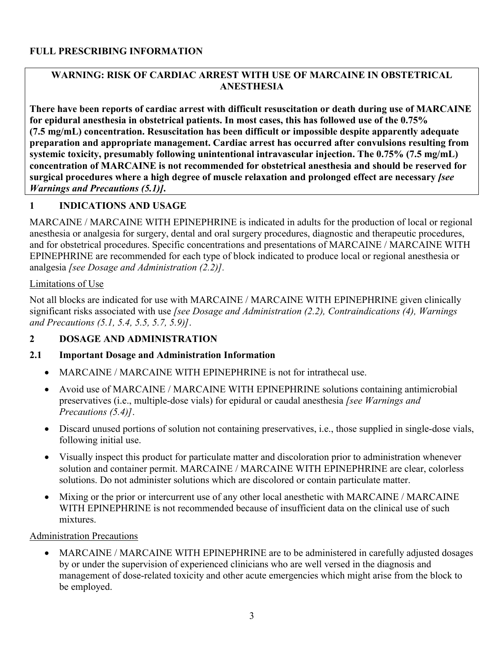#### **FULL PRESCRIBING INFORMATION**

#### **WARNING: RISK OF CARDIAC ARREST WITH USE OF MARCAINE IN OBSTETRICAL ANESTHESIA**

**There have been reports of cardiac arrest with difficult resuscitation or death during use of MARCAINE for epidural anesthesia in obstetrical patients. In most cases, this has followed use of the 0.75% (7.5 mg/mL) concentration. Resuscitation has been difficult or impossible despite apparently adequate preparation and appropriate management. Cardiac arrest has occurred after convulsions resulting from systemic toxicity, presumably following unintentional intravascular injection. The 0.75% (7.5 mg/mL) concentration of MARCAINE is not recommended for obstetrical anesthesia and should be reserved for surgical procedures where a high degree of muscle relaxation and prolonged effect are necessary** *[see Warnings and Precautions (5.1)]***.**

#### **1 INDICATIONS AND USAGE**

MARCAINE / MARCAINE WITH EPINEPHRINE is indicated in adults for the production of local or regional anesthesia or analgesia for surgery, dental and oral surgery procedures, diagnostic and therapeutic procedures, and for obstetrical procedures. Specific concentrations and presentations of MARCAINE / MARCAINE WITH EPINEPHRINE are recommended for each type of block indicated to produce local or regional anesthesia or analgesia *[see Dosage and Administration (2.2)].*

#### Limitations of Use

Not all blocks are indicated for use with MARCAINE / MARCAINE WITH EPINEPHRINE given clinically significant risks associated with use *[see Dosage and Administration (2.2), Contraindications (4), Warnings and Precautions (5.1, 5.4, 5.5, 5.7, 5.9)]*.

#### **2 DOSAGE AND ADMINISTRATION**

#### **2.1 Important Dosage and Administration Information**

- MARCAINE / MARCAINE WITH EPINEPHRINE is not for intrathecal use.
- Avoid use of MARCAINE / MARCAINE WITH EPINEPHRINE solutions containing antimicrobial preservatives (i.e., multiple-dose vials) for epidural or caudal anesthesia *[see Warnings and Precautions (5.4)]*.
- Discard unused portions of solution not containing preservatives, i.e., those supplied in single-dose vials, following initial use.
- Visually inspect this product for particulate matter and discoloration prior to administration whenever solution and container permit. MARCAINE / MARCAINE WITH EPINEPHRINE are clear, colorless solutions. Do not administer solutions which are discolored or contain particulate matter.
- Mixing or the prior or intercurrent use of any other local anesthetic with MARCAINE / MARCAINE WITH EPINEPHRINE is not recommended because of insufficient data on the clinical use of such mixtures.

#### Administration Precautions

• MARCAINE / MARCAINE WITH EPINEPHRINE are to be administered in carefully adjusted dosages by or under the supervision of experienced clinicians who are well versed in the diagnosis and management of dose-related toxicity and other acute emergencies which might arise from the block to be employed.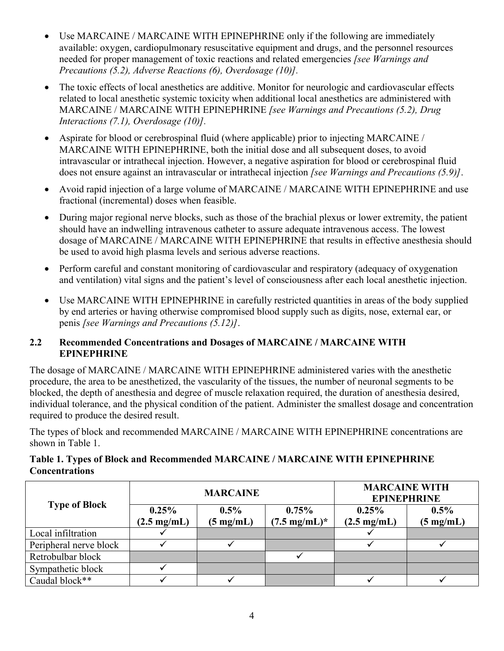- Use MARCAINE / MARCAINE WITH EPINEPHRINE only if the following are immediately available: oxygen, cardiopulmonary resuscitative equipment and drugs, and the personnel resources needed for proper management of toxic reactions and related emergencies *[see Warnings and Precautions (5.2), Adverse Reactions (6), Overdosage (10)].*
- The toxic effects of local anesthetics are additive. Monitor for neurologic and cardiovascular effects related to local anesthetic systemic toxicity when additional local anesthetics are administered with MARCAINE / MARCAINE WITH EPINEPHRINE *[see Warnings and Precautions (5.2), Drug Interactions (7.1), Overdosage (10)].*
- Aspirate for blood or cerebrospinal fluid (where applicable) prior to injecting MARCAINE / MARCAINE WITH EPINEPHRINE, both the initial dose and all subsequent doses, to avoid intravascular or intrathecal injection. However, a negative aspiration for blood or cerebrospinal fluid does not ensure against an intravascular or intrathecal injection *[see Warnings and Precautions (5.9)]*.
- Avoid rapid injection of a large volume of MARCAINE / MARCAINE WITH EPINEPHRINE and use fractional (incremental) doses when feasible.
- During major regional nerve blocks, such as those of the brachial plexus or lower extremity, the patient should have an indwelling intravenous catheter to assure adequate intravenous access. The lowest dosage of MARCAINE / MARCAINE WITH EPINEPHRINE that results in effective anesthesia should be used to avoid high plasma levels and serious adverse reactions.
- Perform careful and constant monitoring of cardiovascular and respiratory (adequacy of oxygenation and ventilation) vital signs and the patient's level of consciousness after each local anesthetic injection.
- Use MARCAINE WITH EPINEPHRINE in carefully restricted quantities in areas of the body supplied by end arteries or having otherwise compromised blood supply such as digits, nose, external ear, or penis *[see Warnings and Precautions (5.12)]*.

#### **2.2 Recommended Concentrations and Dosages of MARCAINE / MARCAINE WITH EPINEPHRINE**

The dosage of MARCAINE / MARCAINE WITH EPINEPHRINE administered varies with the anesthetic procedure, the area to be anesthetized, the vascularity of the tissues, the number of neuronal segments to be blocked, the depth of anesthesia and degree of muscle relaxation required, the duration of anesthesia desired, individual tolerance, and the physical condition of the patient. Administer the smallest dosage and concentration required to produce the desired result.

The types of block and recommended MARCAINE / MARCAINE WITH EPINEPHRINE concentrations are shown in Table 1.

| Table 1. Types of Block and Recommended MARCAINE / MARCAINE WITH EPINEPHRINE |  |
|------------------------------------------------------------------------------|--|
| <b>Concentrations</b>                                                        |  |

|                        | <b>MARCAINE</b>                |                                |                                  | <b>MARCAINE WITH</b><br><b>EPINEPHRINE</b> |                                |
|------------------------|--------------------------------|--------------------------------|----------------------------------|--------------------------------------------|--------------------------------|
| <b>Type of Block</b>   | 0.25%<br>$(2.5 \text{ mg/mL})$ | $0.5\%$<br>$(5 \text{ mg/mL})$ | 0.75%<br>$(7.5 \text{ mg/mL})^*$ | 0.25%<br>$(2.5 \text{ mg/mL})$             | $0.5\%$<br>$(5 \text{ mg/mL})$ |
| Local infiltration     |                                |                                |                                  |                                            |                                |
| Peripheral nerve block |                                |                                |                                  |                                            |                                |
| Retrobulbar block      |                                |                                |                                  |                                            |                                |
| Sympathetic block      |                                |                                |                                  |                                            |                                |
| Caudal block**         |                                |                                |                                  |                                            |                                |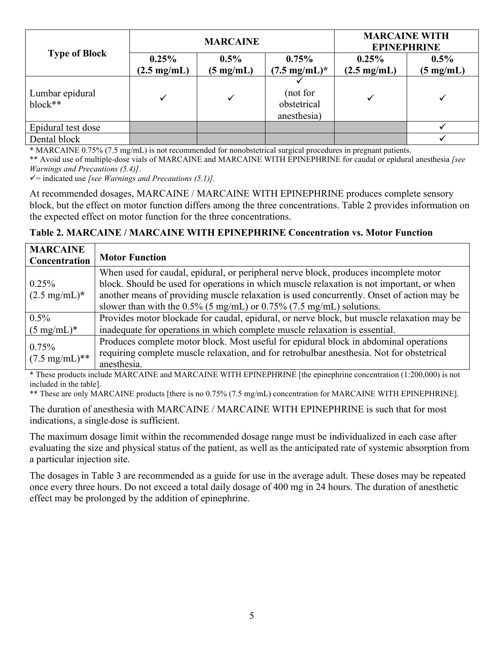|                            | <b>MARCAINE</b>                |                                |                                        | <b>MARCAINE WITH</b><br><b>EPINEPHRINE</b> |                                |
|----------------------------|--------------------------------|--------------------------------|----------------------------------------|--------------------------------------------|--------------------------------|
| <b>Type of Block</b>       | 0.25%<br>$(2.5 \text{ mg/mL})$ | $0.5\%$<br>$(5 \text{ mg/mL})$ | $0.75\%$<br>$(7.5 \text{ mg/mL})^*$    | 0.25%<br>$(2.5 \text{ mg/mL})$             | $0.5\%$<br>$(5 \text{ mg/mL})$ |
| Lumbar epidural<br>block** | ✓                              |                                | (not for<br>obstetrical<br>anesthesia) |                                            |                                |
| Epidural test dose         |                                |                                |                                        |                                            |                                |
| Dental block               |                                |                                |                                        |                                            |                                |

\* MARCAINE 0.75% (7.5 mg/mL) is not recommended for nonobstetrical surgical procedures in pregnant patients.

\*\* Avoid use of multiple-dose vials of MARCAINE and MARCAINE WITH EPINEPHRINE for caudal or epidural anesthesia *[see Warnings and Precautions (5.4)]*.

 $\checkmark$  = indicated use *[see Warnings and Precautions (5.1)]*.

At recommended dosages, MARCAINE / MARCAINE WITH EPINEPHRINE produces complete sensory block, but the effect on motor function differs among the three concentrations. Table 2 provides information on the expected effect on motor function for the three concentrations.

#### **Table 2. MARCAINE / MARCAINE WITH EPINEPHRINE Concentration vs. Motor Function**

| <b>MARCAINE</b><br>Concentration | <b>Motor Function</b>                                                                      |
|----------------------------------|--------------------------------------------------------------------------------------------|
|                                  | When used for caudal, epidural, or peripheral nerve block, produces incomplete motor       |
| 0.25%                            | block. Should be used for operations in which muscle relaxation is not important, or when  |
| $(2.5 \text{ mg/mL})^*$          | another means of providing muscle relaxation is used concurrently. Onset of action may be  |
|                                  | slower than with the $0.5\%$ (5 mg/mL) or $0.75\%$ (7.5 mg/mL) solutions.                  |
| $0.5\%$                          | Provides motor blockade for caudal, epidural, or nerve block, but muscle relaxation may be |
| $(5 \text{ mg/mL})^*$            | inadequate for operations in which complete muscle relaxation is essential.                |
| 0.75%                            | Produces complete motor block. Most useful for epidural block in abdominal operations      |
|                                  | requiring complete muscle relaxation, and for retrobulbar anesthesia. Not for obstetrical  |
| $(7.5 \text{ mg/mL})$ **         | anesthesia.                                                                                |

\* These products include MARCAINE and MARCAINE WITH EPINEPHRINE [the epinephrine concentration (1:200,000) is not included in the table].

\*\* These are only MARCAINE products [there is no 0.75% (7.5 mg/mL) concentration for MARCAINE WITH EPINEPHRINE].

The duration of anesthesia with MARCAINE / MARCAINE WITH EPINEPHRINE is such that for most indications, a single-dose is sufficient.

The maximum dosage limit within the recommended dosage range must be individualized in each case after evaluating the size and physical status of the patient, as well as the anticipated rate of systemic absorption from a particular injection site.

The dosages in Table 3 are recommended as a guide for use in the average adult. These doses may be repeated once every three hours. Do not exceed a total daily dosage of 400 mg in 24 hours. The duration of anesthetic effect may be prolonged by the addition of epinephrine.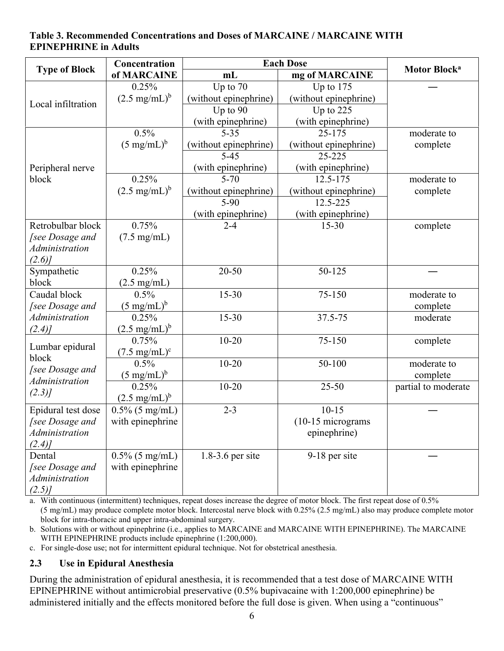#### **Table 3. Recommended Concentrations and Doses of MARCAINE / MARCAINE WITH EPINEPHRINE in Adults**

|                                           | Concentration<br><b>Each Dose</b> |                       |                       | Motor Block <sup>a</sup> |
|-------------------------------------------|-----------------------------------|-----------------------|-----------------------|--------------------------|
| <b>Type of Block</b><br>of MARCAINE<br>mL |                                   | mg of MARCAINE        |                       |                          |
|                                           | 0.25%                             | Up to 70              | Up to 175             |                          |
| Local infiltration                        | $(2.5 \text{ mg/mL})^b$           | (without epinephrine) | (without epinephrine) |                          |
|                                           |                                   | Up to 90              | Up to 225             |                          |
|                                           |                                   | (with epinephrine)    | (with epinephrine)    |                          |
|                                           | 0.5%                              | $5 - 35$              | 25-175                | moderate to              |
|                                           | $(5 \text{ mg/mL})^b$             | (without epinephrine) | (without epinephrine) | complete                 |
|                                           |                                   | $5 - 45$              | 25-225                |                          |
| Peripheral nerve                          |                                   | (with epinephrine)    | (with epinephrine)    |                          |
| block                                     | 0.25%                             | $5 - 70$              | 12.5-175              | moderate to              |
|                                           | $(2.5 \text{ mg/mL})^b$           | (without epinephrine) | (without epinephrine) | complete                 |
|                                           |                                   | $5-90$                | 12.5-225              |                          |
|                                           |                                   | (with epinephrine)    | (with epinephrine)    |                          |
| Retrobulbar block                         | 0.75%                             | $2 - 4$               | $15 - 30$             | complete                 |
| [see Dosage and                           | $(7.5 \text{ mg/mL})$             |                       |                       |                          |
| <b>Administration</b>                     |                                   |                       |                       |                          |
| $(2.6)$ ]                                 |                                   |                       |                       |                          |
| Sympathetic                               | 0.25%                             | $20 - 50$             | 50-125                |                          |
| block                                     | $(2.5 \text{ mg/mL})$             |                       |                       |                          |
| Caudal block                              | 0.5%                              | $15 - 30$             | 75-150                | moderate to              |
| [see Dosage and                           | $(5 \text{ mg/mL})^b$             |                       |                       | complete                 |
| Administration                            | 0.25%                             | $15 - 30$             | 37.5-75               | moderate                 |
| (2.4)                                     | $(2.5 \text{ mg/mL})^b$           |                       |                       |                          |
| Lumbar epidural                           | 0.75%                             | $10 - 20$             | 75-150                | complete                 |
| block                                     | $(7.5 \text{ mg/mL})^c$           |                       |                       |                          |
| [see Dosage and                           | 0.5%                              | $10 - 20$             | 50-100                | moderate to              |
| Administration                            | $(5 \text{ mg/mL})^b$             |                       |                       | complete                 |
| (2.3)                                     | 0.25%                             | $10 - 20$             | $25 - 50$             | partial to moderate      |
|                                           | $(2.5 \text{ mg/mL})^b$           |                       |                       |                          |
| Epidural test dose                        | $0.5\%$ (5 mg/mL)                 | $2 - 3$               | $10-15$               |                          |
| <i>See Dosage and</i>                     | with epinephrine                  |                       | $(10-15$ micrograms   |                          |
| Administration                            |                                   |                       | epinephrine)          |                          |
| (2.4)                                     |                                   |                       |                       |                          |
| Dental                                    | $0.5\%$ (5 mg/mL)                 | 1.8-3.6 per site      | 9-18 per site         |                          |
| [see Dosage and                           | with epinephrine                  |                       |                       |                          |
| Administration                            |                                   |                       |                       |                          |
| (2.5)                                     |                                   |                       |                       |                          |

a. With continuous (intermittent) techniques, repeat doses increase the degree of motor block. The first repeat dose of 0.5% (5 mg/mL) may produce complete motor block. Intercostal nerve block with 0.25% (2.5 mg/mL) also may produce complete motor block for intra-thoracic and upper intra-abdominal surgery.

b. Solutions with or without epinephrine (i.e., applies to MARCAINE and MARCAINE WITH EPINEPHRINE). The MARCAINE WITH EPINEPHRINE products include epinephrine (1:200,000).

c. For single-dose use; not for intermittent epidural technique. Not for obstetrical anesthesia.

### **2.3 Use in Epidural Anesthesia**

During the administration of epidural anesthesia, it is recommended that a test dose of MARCAINE WITH EPINEPHRINE without antimicrobial preservative (0.5% bupivacaine with 1:200,000 epinephrine) be administered initially and the effects monitored before the full dose is given. When using a "continuous"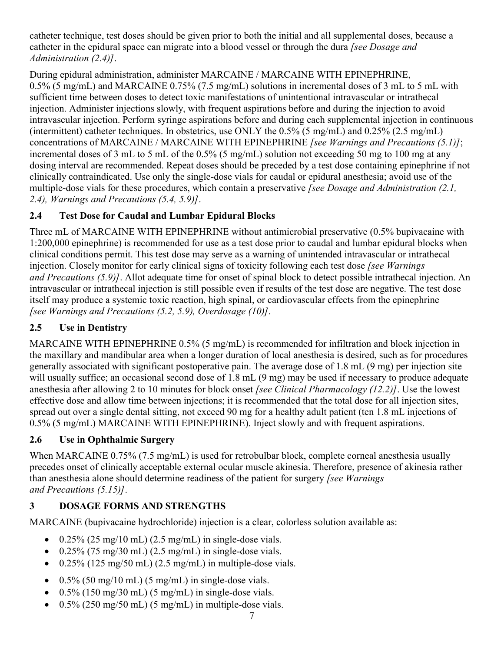catheter technique, test doses should be given prior to both the initial and all supplemental doses, because a catheter in the epidural space can migrate into a blood vessel or through the dura *[see Dosage and Administration (2.4)]*.

During epidural administration, administer MARCAINE / MARCAINE WITH EPINEPHRINE, 0.5% (5 mg/mL) and MARCAINE 0.75% (7.5 mg/mL) solutions in incremental doses of 3 mL to 5 mL with sufficient time between doses to detect toxic manifestations of unintentional intravascular or intrathecal injection. Administer injections slowly, with frequent aspirations before and during the injection to avoid intravascular injection. Perform syringe aspirations before and during each supplemental injection in continuous (intermittent) catheter techniques. In obstetrics, use ONLY the 0.5% (5 mg/mL) and 0.25% (2.5 mg/mL) concentrations of MARCAINE / MARCAINE WITH EPINEPHRINE *[see Warnings and Precautions (5.1)]*; incremental doses of 3 mL to 5 mL of the 0.5% (5 mg/mL) solution not exceeding 50 mg to 100 mg at any dosing interval are recommended. Repeat doses should be preceded by a test dose containing epinephrine if not clinically contraindicated. Use only the single-dose vials for caudal or epidural anesthesia; avoid use of the multiple-dose vials for these procedures, which contain a preservative *[see Dosage and Administration (2.1, 2.4), Warnings and Precautions (5.4, 5.9)]*.

# **2.4 Test Dose for Caudal and Lumbar Epidural Blocks**

Three mL of MARCAINE WITH EPINEPHRINE without antimicrobial preservative (0.5% bupivacaine with 1:200,000 epinephrine) is recommended for use as a test dose prior to caudal and lumbar epidural blocks when clinical conditions permit. This test dose may serve as a warning of unintended intravascular or intrathecal injection. Closely monitor for early clinical signs of toxicity following each test dose *[see Warnings and Precautions (5.9)]*. Allot adequate time for onset of spinal block to detect possible intrathecal injection. An intravascular or intrathecal injection is still possible even if results of the test dose are negative. The test dose itself may produce a systemic toxic reaction, high spinal, or cardiovascular effects from the epinephrine *[see Warnings and Precautions (5.2, 5.9), Overdosage (10)]*.

# **2.5 Use in Dentistry**

MARCAINE WITH EPINEPHRINE 0.5% (5 mg/mL) is recommended for infiltration and block injection in the maxillary and mandibular area when a longer duration of local anesthesia is desired, such as for procedures generally associated with significant postoperative pain. The average dose of 1.8 mL (9 mg) per injection site will usually suffice; an occasional second dose of 1.8 mL (9 mg) may be used if necessary to produce adequate anesthesia after allowing 2 to 10 minutes for block onset *[see Clinical Pharmacology (12.2)]*. Use the lowest effective dose and allow time between injections; it is recommended that the total dose for all injection sites, spread out over a single dental sitting, not exceed 90 mg for a healthy adult patient (ten 1.8 mL injections of 0.5% (5 mg/mL) MARCAINE WITH EPINEPHRINE). Inject slowly and with frequent aspirations.

## **2.6 Use in Ophthalmic Surgery**

When MARCAINE 0.75% (7.5 mg/mL) is used for retrobulbar block, complete corneal anesthesia usually precedes onset of clinically acceptable external ocular muscle akinesia. Therefore, presence of akinesia rather than anesthesia alone should determine readiness of the patient for surgery *[see Warnings and Precautions (5.15)]*.

# **3 DOSAGE FORMS AND STRENGTHS**

MARCAINE (bupivacaine hydrochloride) injection is a clear, colorless solution available as:

- $\bullet$  0.25% (25 mg/10 mL) (2.5 mg/mL) in single-dose vials.
- $0.25\%$  (75 mg/30 mL) (2.5 mg/mL) in single-dose vials.
- $\bullet$  0.25% (125 mg/50 mL) (2.5 mg/mL) in multiple-dose vials.
- $0.5\%$  (50 mg/10 mL) (5 mg/mL) in single-dose vials.
- $0.5\%$  (150 mg/30 mL) (5 mg/mL) in single-dose vials.
- $\bullet$  0.5% (250 mg/50 mL) (5 mg/mL) in multiple-dose vials.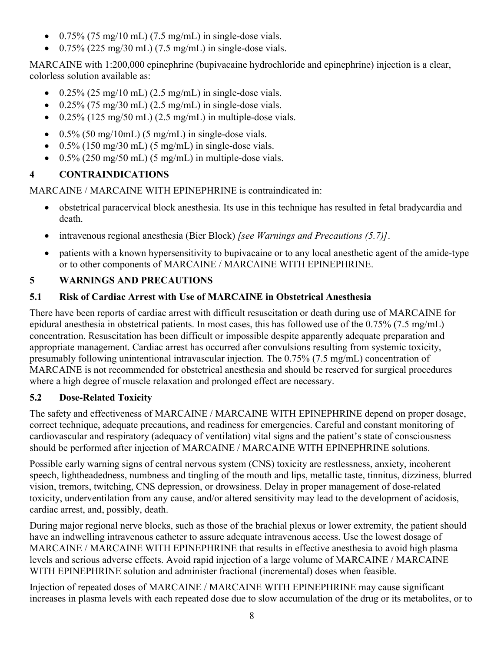- $\bullet$  0.75% (75 mg/10 mL) (7.5 mg/mL) in single-dose vials.
- $0.75\%$  (225 mg/30 mL) (7.5 mg/mL) in single-dose vials.

MARCAINE with 1:200,000 epinephrine (bupivacaine hydrochloride and epinephrine) injection is a clear, colorless solution available as:

- $\bullet$  0.25% (25 mg/10 mL) (2.5 mg/mL) in single-dose vials.
- $\bullet$  0.25% (75 mg/30 mL) (2.5 mg/mL) in single-dose vials.
- $\bullet$  0.25% (125 mg/50 mL) (2.5 mg/mL) in multiple-dose vials.
- $\bullet$  0.5% (50 mg/10mL) (5 mg/mL) in single-dose vials.
- $\bullet$  0.5% (150 mg/30 mL) (5 mg/mL) in single-dose vials.
- $\bullet$  0.5% (250 mg/50 mL) (5 mg/mL) in multiple-dose vials.

# **4 CONTRAINDICATIONS**

MARCAINE / MARCAINE WITH EPINEPHRINE is contraindicated in:

- obstetrical paracervical block anesthesia. Its use in this technique has resulted in fetal bradycardia and death.
- intravenous regional anesthesia (Bier Block) *[see Warnings and Precautions (5.7)]*.
- patients with a known hypersensitivity to bupivacaine or to any local anesthetic agent of the amide-type or to other components of MARCAINE / MARCAINE WITH EPINEPHRINE.

# **5 WARNINGS AND PRECAUTIONS**

# **5.1 Risk of Cardiac Arrest with Use of MARCAINE in Obstetrical Anesthesia**

There have been reports of cardiac arrest with difficult resuscitation or death during use of MARCAINE for epidural anesthesia in obstetrical patients. In most cases, this has followed use of the 0.75% (7.5 mg/mL) concentration. Resuscitation has been difficult or impossible despite apparently adequate preparation and appropriate management. Cardiac arrest has occurred after convulsions resulting from systemic toxicity, presumably following unintentional intravascular injection. The 0.75% (7.5 mg/mL) concentration of MARCAINE is not recommended for obstetrical anesthesia and should be reserved for surgical procedures where a high degree of muscle relaxation and prolonged effect are necessary.

# **5.2 Dose-Related Toxicity**

The safety and effectiveness of MARCAINE / MARCAINE WITH EPINEPHRINE depend on proper dosage, correct technique, adequate precautions, and readiness for emergencies. Careful and constant monitoring of cardiovascular and respiratory (adequacy of ventilation) vital signs and the patient's state of consciousness should be performed after injection of MARCAINE / MARCAINE WITH EPINEPHRINE solutions.

Possible early warning signs of central nervous system (CNS) toxicity are restlessness, anxiety, incoherent speech, lightheadedness, numbness and tingling of the mouth and lips, metallic taste, tinnitus, dizziness, blurred vision, tremors, twitching, CNS depression, or drowsiness. Delay in proper management of dose-related toxicity, underventilation from any cause, and/or altered sensitivity may lead to the development of acidosis, cardiac arrest, and, possibly, death.

During major regional nerve blocks, such as those of the brachial plexus or lower extremity, the patient should have an indwelling intravenous catheter to assure adequate intravenous access. Use the lowest dosage of MARCAINE / MARCAINE WITH EPINEPHRINE that results in effective anesthesia to avoid high plasma levels and serious adverse effects. Avoid rapid injection of a large volume of MARCAINE / MARCAINE WITH EPINEPHRINE solution and administer fractional (incremental) doses when feasible.

Injection of repeated doses of MARCAINE / MARCAINE WITH EPINEPHRINE may cause significant increases in plasma levels with each repeated dose due to slow accumulation of the drug or its metabolites, or to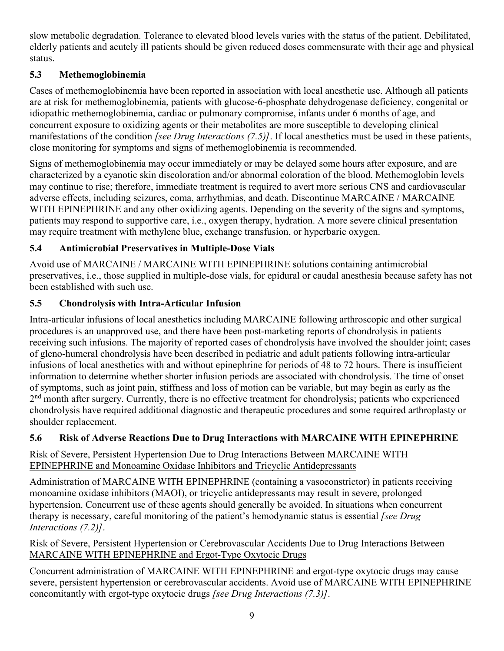slow metabolic degradation. Tolerance to elevated blood levels varies with the status of the patient. Debilitated, elderly patients and acutely ill patients should be given reduced doses commensurate with their age and physical status.

## **5.3 Methemoglobinemia**

Cases of methemoglobinemia have been reported in association with local anesthetic use. Although all patients are at risk for methemoglobinemia, patients with glucose-6-phosphate dehydrogenase deficiency, congenital or idiopathic methemoglobinemia, cardiac or pulmonary compromise, infants under 6 months of age, and concurrent exposure to oxidizing agents or their metabolites are more susceptible to developing clinical manifestations of the condition *[see Drug Interactions (7.5)]*. If local anesthetics must be used in these patients, close monitoring for symptoms and signs of methemoglobinemia is recommended.

Signs of methemoglobinemia may occur immediately or may be delayed some hours after exposure, and are characterized by a cyanotic skin discoloration and/or abnormal coloration of the blood. Methemoglobin levels may continue to rise; therefore, immediate treatment is required to avert more serious CNS and cardiovascular adverse effects, including seizures, coma, arrhythmias, and death. Discontinue MARCAINE / MARCAINE WITH EPINEPHRINE and any other oxidizing agents. Depending on the severity of the signs and symptoms, patients may respond to supportive care, i.e., oxygen therapy, hydration. A more severe clinical presentation may require treatment with methylene blue, exchange transfusion, or hyperbaric oxygen.

## **5.4 Antimicrobial Preservatives in Multiple-Dose Vials**

Avoid use of MARCAINE / MARCAINE WITH EPINEPHRINE solutions containing antimicrobial preservatives, i.e., those supplied in multiple-dose vials, for epidural or caudal anesthesia because safety has not been established with such use.

## **5.5 Chondrolysis with Intra-Articular Infusion**

Intra-articular infusions of local anesthetics including MARCAINE following arthroscopic and other surgical procedures is an unapproved use, and there have been post-marketing reports of chondrolysis in patients receiving such infusions. The majority of reported cases of chondrolysis have involved the shoulder joint; cases of gleno-humeral chondrolysis have been described in pediatric and adult patients following intra-articular infusions of local anesthetics with and without epinephrine for periods of 48 to 72 hours. There is insufficient information to determine whether shorter infusion periods are associated with chondrolysis. The time of onset of symptoms, such as joint pain, stiffness and loss of motion can be variable, but may begin as early as the 2<sup>nd</sup> month after surgery. Currently, there is no effective treatment for chondrolysis; patients who experienced chondrolysis have required additional diagnostic and therapeutic procedures and some required arthroplasty or shoulder replacement.

## **5.6 Risk of Adverse Reactions Due to Drug Interactions with MARCAINE WITH EPINEPHRINE**

#### Risk of Severe, Persistent Hypertension Due to Drug Interactions Between MARCAINE WITH EPINEPHRINE and Monoamine Oxidase Inhibitors and Tricyclic Antidepressants

Administration of MARCAINE WITH EPINEPHRINE (containing a vasoconstrictor) in patients receiving monoamine oxidase inhibitors (MAOI), or tricyclic antidepressants may result in severe, prolonged hypertension. Concurrent use of these agents should generally be avoided. In situations when concurrent therapy is necessary, careful monitoring of the patient's hemodynamic status is essential *[see Drug Interactions (7.2)]*.

#### Risk of Severe, Persistent Hypertension or Cerebrovascular Accidents Due to Drug Interactions Between MARCAINE WITH EPINEPHRINE and Ergot-Type Oxytocic Drugs

Concurrent administration of MARCAINE WITH EPINEPHRINE and ergot-type oxytocic drugs may cause severe, persistent hypertension or cerebrovascular accidents. Avoid use of MARCAINE WITH EPINEPHRINE concomitantly with ergot-type oxytocic drugs *[see Drug Interactions (7.3)]*.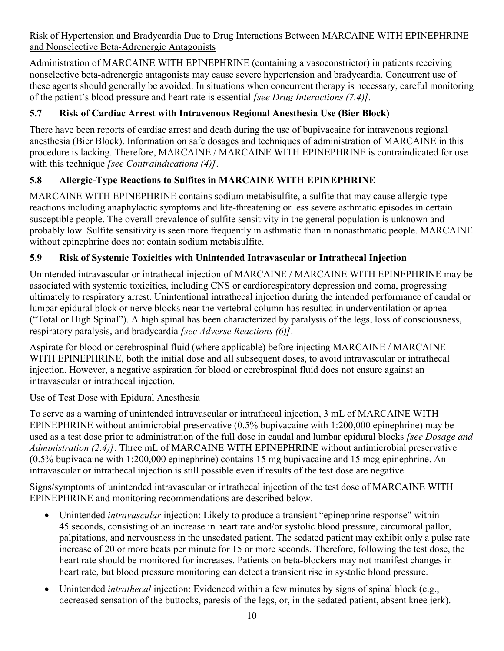Risk of Hypertension and Bradycardia Due to Drug Interactions Between MARCAINE WITH EPINEPHRINE and Nonselective Beta-Adrenergic Antagonists

Administration of MARCAINE WITH EPINEPHRINE (containing a vasoconstrictor) in patients receiving nonselective beta-adrenergic antagonists may cause severe hypertension and bradycardia. Concurrent use of these agents should generally be avoided. In situations when concurrent therapy is necessary, careful monitoring of the patient's blood pressure and heart rate is essential *[see Drug Interactions (7.4)].*

## **5.7 Risk of Cardiac Arrest with Intravenous Regional Anesthesia Use (Bier Block)**

There have been reports of cardiac arrest and death during the use of bupivacaine for intravenous regional anesthesia (Bier Block). Information on safe dosages and techniques of administration of MARCAINE in this procedure is lacking. Therefore, MARCAINE / MARCAINE WITH EPINEPHRINE is contraindicated for use with this technique *[see Contraindications (4)]*.

## **5.8 Allergic-Type Reactions to Sulfites in MARCAINE WITH EPINEPHRINE**

MARCAINE WITH EPINEPHRINE contains sodium metabisulfite, a sulfite that may cause allergic-type reactions including anaphylactic symptoms and life-threatening or less severe asthmatic episodes in certain susceptible people. The overall prevalence of sulfite sensitivity in the general population is unknown and probably low. Sulfite sensitivity is seen more frequently in asthmatic than in nonasthmatic people. MARCAINE without epinephrine does not contain sodium metabisulfite.

## **5.9 Risk of Systemic Toxicities with Unintended Intravascular or Intrathecal Injection**

Unintended intravascular or intrathecal injection of MARCAINE / MARCAINE WITH EPINEPHRINE may be associated with systemic toxicities, including CNS or cardiorespiratory depression and coma, progressing ultimately to respiratory arrest. Unintentional intrathecal injection during the intended performance of caudal or lumbar epidural block or nerve blocks near the vertebral column has resulted in underventilation or apnea ("Total or High Spinal"). A high spinal has been characterized by paralysis of the legs, loss of consciousness, respiratory paralysis, and bradycardia *[see Adverse Reactions (6)]*.

Aspirate for blood or cerebrospinal fluid (where applicable) before injecting MARCAINE / MARCAINE WITH EPINEPHRINE, both the initial dose and all subsequent doses, to avoid intravascular or intrathecal injection. However, a negative aspiration for blood or cerebrospinal fluid does not ensure against an intravascular or intrathecal injection.

## Use of Test Dose with Epidural Anesthesia

To serve as a warning of unintended intravascular or intrathecal injection, 3 mL of MARCAINE WITH EPINEPHRINE without antimicrobial preservative (0.5% bupivacaine with 1:200,000 epinephrine) may be used as a test dose prior to administration of the full dose in caudal and lumbar epidural blocks *[see Dosage and Administration (2.4)]*. Three mL of MARCAINE WITH EPINEPHRINE without antimicrobial preservative (0.5% bupivacaine with 1:200,000 epinephrine) contains 15 mg bupivacaine and 15 mcg epinephrine. An intravascular or intrathecal injection is still possible even if results of the test dose are negative.

Signs/symptoms of unintended intravascular or intrathecal injection of the test dose of MARCAINE WITH EPINEPHRINE and monitoring recommendations are described below.

- Unintended *intravascular* injection: Likely to produce a transient "epinephrine response" within 45 seconds, consisting of an increase in heart rate and/or systolic blood pressure, circumoral pallor, palpitations, and nervousness in the unsedated patient. The sedated patient may exhibit only a pulse rate increase of 20 or more beats per minute for 15 or more seconds. Therefore, following the test dose, the heart rate should be monitored for increases. Patients on beta-blockers may not manifest changes in heart rate, but blood pressure monitoring can detect a transient rise in systolic blood pressure.
- Unintended *intrathecal* injection: Evidenced within a few minutes by signs of spinal block (e.g., decreased sensation of the buttocks, paresis of the legs, or, in the sedated patient, absent knee jerk).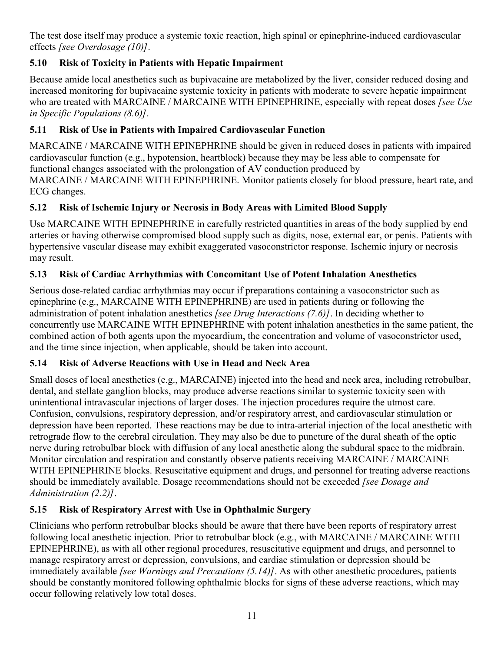The test dose itself may produce a systemic toxic reaction, high spinal or epinephrine-induced cardiovascular effects *[see Overdosage (10)]*.

## **5.10 Risk of Toxicity in Patients with Hepatic Impairment**

Because amide local anesthetics such as bupivacaine are metabolized by the liver, consider reduced dosing and increased monitoring for bupivacaine systemic toxicity in patients with moderate to severe hepatic impairment who are treated with MARCAINE / MARCAINE WITH EPINEPHRINE, especially with repeat doses *[see Use in Specific Populations (8.6)]*.

## **5.11 Risk of Use in Patients with Impaired Cardiovascular Function**

MARCAINE / MARCAINE WITH EPINEPHRINE should be given in reduced doses in patients with impaired cardiovascular function (e.g., hypotension, heartblock) because they may be less able to compensate for functional changes associated with the prolongation of AV conduction produced by MARCAINE / MARCAINE WITH EPINEPHRINE. Monitor patients closely for blood pressure, heart rate, and ECG changes.

## **5.12 Risk of Ischemic Injury or Necrosis in Body Areas with Limited Blood Supply**

Use MARCAINE WITH EPINEPHRINE in carefully restricted quantities in areas of the body supplied by end arteries or having otherwise compromised blood supply such as digits, nose, external ear, or penis. Patients with hypertensive vascular disease may exhibit exaggerated vasoconstrictor response. Ischemic injury or necrosis may result.

## **5.13 Risk of Cardiac Arrhythmias with Concomitant Use of Potent Inhalation Anesthetics**

Serious dose-related cardiac arrhythmias may occur if preparations containing a vasoconstrictor such as epinephrine (e.g., MARCAINE WITH EPINEPHRINE) are used in patients during or following the administration of potent inhalation anesthetics *[see Drug Interactions (7.6)]*. In deciding whether to concurrently use MARCAINE WITH EPINEPHRINE with potent inhalation anesthetics in the same patient, the combined action of both agents upon the myocardium, the concentration and volume of vasoconstrictor used, and the time since injection, when applicable, should be taken into account.

## **5.14 Risk of Adverse Reactions with Use in Head and Neck Area**

Small doses of local anesthetics (e.g., MARCAINE) injected into the head and neck area, including retrobulbar, dental, and stellate ganglion blocks, may produce adverse reactions similar to systemic toxicity seen with unintentional intravascular injections of larger doses. The injection procedures require the utmost care. Confusion, convulsions, respiratory depression, and/or respiratory arrest, and cardiovascular stimulation or depression have been reported. These reactions may be due to intra-arterial injection of the local anesthetic with retrograde flow to the cerebral circulation. They may also be due to puncture of the dural sheath of the optic nerve during retrobulbar block with diffusion of any local anesthetic along the subdural space to the midbrain. Monitor circulation and respiration and constantly observe patients receiving MARCAINE / MARCAINE WITH EPINEPHRINE blocks. Resuscitative equipment and drugs, and personnel for treating adverse reactions should be immediately available. Dosage recommendations should not be exceeded *[see Dosage and Administration (2.2)]*.

## **5.15 Risk of Respiratory Arrest with Use in Ophthalmic Surgery**

Clinicians who perform retrobulbar blocks should be aware that there have been reports of respiratory arrest following local anesthetic injection. Prior to retrobulbar block (e.g., with MARCAINE / MARCAINE WITH EPINEPHRINE), as with all other regional procedures, resuscitative equipment and drugs, and personnel to manage respiratory arrest or depression, convulsions, and cardiac stimulation or depression should be immediately available *[see Warnings and Precautions (5.14)]*. As with other anesthetic procedures, patients should be constantly monitored following ophthalmic blocks for signs of these adverse reactions, which may occur following relatively low total doses.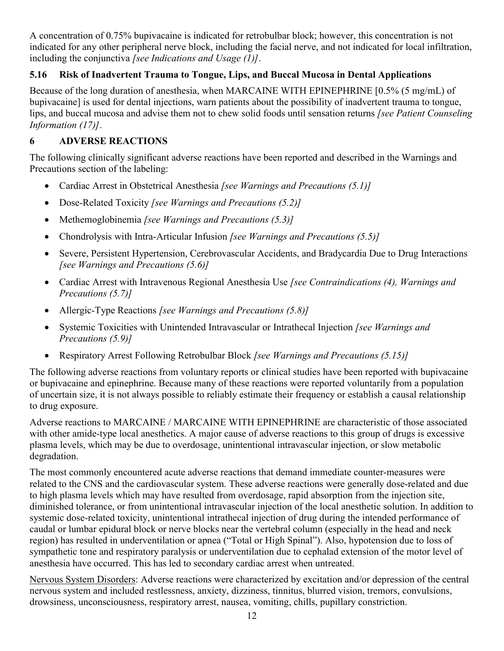A concentration of 0.75% bupivacaine is indicated for retrobulbar block; however, this concentration is not indicated for any other peripheral nerve block, including the facial nerve, and not indicated for local infiltration, including the conjunctiva *[see Indications and Usage (1)]*.

## **5.16 Risk of Inadvertent Trauma to Tongue, Lips, and Buccal Mucosa in Dental Applications**

Because of the long duration of anesthesia, when MARCAINE WITH EPINEPHRINE [0.5% (5 mg/mL) of bupivacaine] is used for dental injections, warn patients about the possibility of inadvertent trauma to tongue, lips, and buccal mucosa and advise them not to chew solid foods until sensation returns *[see Patient Counseling Information (17)]*.

### **6 ADVERSE REACTIONS**

The following clinically significant adverse reactions have been reported and described in the Warnings and Precautions section of the labeling:

- Cardiac Arrest in Obstetrical Anesthesia *[see Warnings and Precautions (5.1)]*
- Dose-Related Toxicity *[see Warnings and Precautions (5.2)]*
- Methemoglobinemia *[see Warnings and Precautions (5.3)]*
- Chondrolysis with Intra-Articular Infusion *[see Warnings and Precautions (5.5)]*
- Severe, Persistent Hypertension, Cerebrovascular Accidents, and Bradycardia Due to Drug Interactions *[see Warnings and Precautions (5.6)]*
- Cardiac Arrest with Intravenous Regional Anesthesia Use *[see Contraindications (4), Warnings and Precautions (5.7)]*
- Allergic-Type Reactions *[see Warnings and Precautions (5.8)]*
- Systemic Toxicities with Unintended Intravascular or Intrathecal Injection *[see Warnings and Precautions (5.9)]*
- Respiratory Arrest Following Retrobulbar Block *[see Warnings and Precautions (5.15)]*

The following adverse reactions from voluntary reports or clinical studies have been reported with bupivacaine or bupivacaine and epinephrine. Because many of these reactions were reported voluntarily from a population of uncertain size, it is not always possible to reliably estimate their frequency or establish a causal relationship to drug exposure.

Adverse reactions to MARCAINE / MARCAINE WITH EPINEPHRINE are characteristic of those associated with other amide-type local anesthetics. A major cause of adverse reactions to this group of drugs is excessive plasma levels, which may be due to overdosage, unintentional intravascular injection, or slow metabolic degradation.

The most commonly encountered acute adverse reactions that demand immediate counter-measures were related to the CNS and the cardiovascular system. These adverse reactions were generally dose-related and due to high plasma levels which may have resulted from overdosage, rapid absorption from the injection site, diminished tolerance, or from unintentional intravascular injection of the local anesthetic solution. In addition to systemic dose-related toxicity, unintentional intrathecal injection of drug during the intended performance of caudal or lumbar epidural block or nerve blocks near the vertebral column (especially in the head and neck region) has resulted in underventilation or apnea ("Total or High Spinal"). Also, hypotension due to loss of sympathetic tone and respiratory paralysis or underventilation due to cephalad extension of the motor level of anesthesia have occurred. This has led to secondary cardiac arrest when untreated.

Nervous System Disorders: Adverse reactions were characterized by excitation and/or depression of the central nervous system and included restlessness, anxiety, dizziness, tinnitus, blurred vision, tremors, convulsions, drowsiness, unconsciousness, respiratory arrest, nausea, vomiting, chills, pupillary constriction.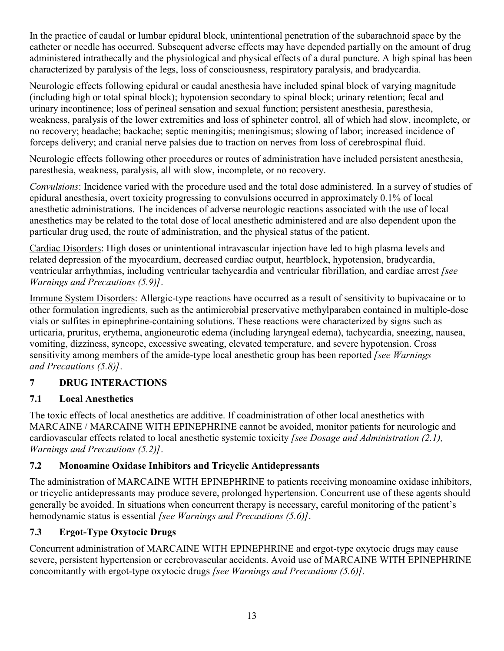In the practice of caudal or lumbar epidural block, unintentional penetration of the subarachnoid space by the catheter or needle has occurred. Subsequent adverse effects may have depended partially on the amount of drug administered intrathecally and the physiological and physical effects of a dural puncture. A high spinal has been characterized by paralysis of the legs, loss of consciousness, respiratory paralysis, and bradycardia.

Neurologic effects following epidural or caudal anesthesia have included spinal block of varying magnitude (including high or total spinal block); hypotension secondary to spinal block; urinary retention; fecal and urinary incontinence; loss of perineal sensation and sexual function; persistent anesthesia, paresthesia, weakness, paralysis of the lower extremities and loss of sphincter control, all of which had slow, incomplete, or no recovery; headache; backache; septic meningitis; meningismus; slowing of labor; increased incidence of forceps delivery; and cranial nerve palsies due to traction on nerves from loss of cerebrospinal fluid.

Neurologic effects following other procedures or routes of administration have included persistent anesthesia, paresthesia, weakness, paralysis, all with slow, incomplete, or no recovery.

*Convulsions*: Incidence varied with the procedure used and the total dose administered. In a survey of studies of epidural anesthesia, overt toxicity progressing to convulsions occurred in approximately 0.1% of local anesthetic administrations. The incidences of adverse neurologic reactions associated with the use of local anesthetics may be related to the total dose of local anesthetic administered and are also dependent upon the particular drug used, the route of administration, and the physical status of the patient.

Cardiac Disorders: High doses or unintentional intravascular injection have led to high plasma levels and related depression of the myocardium, decreased cardiac output, heartblock, hypotension, bradycardia, ventricular arrhythmias, including ventricular tachycardia and ventricular fibrillation, and cardiac arrest *[see Warnings and Precautions (5.9)]*.

Immune System Disorders: Allergic-type reactions have occurred as a result of sensitivity to bupivacaine or to other formulation ingredients, such as the antimicrobial preservative methylparaben contained in multiple-dose vials or sulfites in epinephrine-containing solutions. These reactions were characterized by signs such as urticaria, pruritus, erythema, angioneurotic edema (including laryngeal edema), tachycardia, sneezing, nausea, vomiting, dizziness, syncope, excessive sweating, elevated temperature, and severe hypotension. Cross sensitivity among members of the amide-type local anesthetic group has been reported *[see Warnings and Precautions (5.8)]*.

## **7 DRUG INTERACTIONS**

## **7.1 Local Anesthetics**

The toxic effects of local anesthetics are additive. If coadministration of other local anesthetics with MARCAINE / MARCAINE WITH EPINEPHRINE cannot be avoided, monitor patients for neurologic and cardiovascular effects related to local anesthetic systemic toxicity *[see Dosage and Administration (2.1), Warnings and Precautions (5.2)]*.

# **7.2 Monoamine Oxidase Inhibitors and Tricyclic Antidepressants**

The administration of MARCAINE WITH EPINEPHRINE to patients receiving monoamine oxidase inhibitors, or tricyclic antidepressants may produce severe, prolonged hypertension. Concurrent use of these agents should generally be avoided. In situations when concurrent therapy is necessary, careful monitoring of the patient's hemodynamic status is essential *[see Warnings and Precautions (5.6)]*.

# **7.3 Ergot-Type Oxytocic Drugs**

Concurrent administration of MARCAINE WITH EPINEPHRINE and ergot-type oxytocic drugs may cause severe, persistent hypertension or cerebrovascular accidents. Avoid use of MARCAINE WITH EPINEPHRINE concomitantly with ergot-type oxytocic drugs *[see Warnings and Precautions (5.6)].*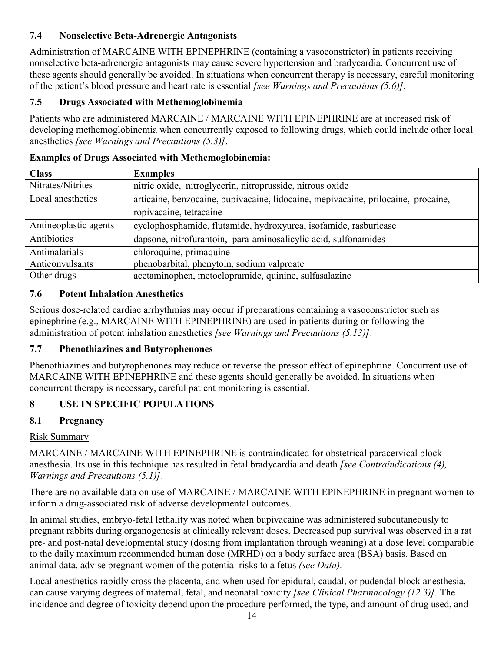## **7.4 Nonselective Beta-Adrenergic Antagonists**

Administration of MARCAINE WITH EPINEPHRINE (containing a vasoconstrictor) in patients receiving nonselective beta-adrenergic antagonists may cause severe hypertension and bradycardia. Concurrent use of these agents should generally be avoided. In situations when concurrent therapy is necessary, careful monitoring of the patient's blood pressure and heart rate is essential *[see Warnings and Precautions (5.6)].*

## **7.5 Drugs Associated with Methemoglobinemia**

Patients who are administered MARCAINE / MARCAINE WITH EPINEPHRINE are at increased risk of developing methemoglobinemia when concurrently exposed to following drugs, which could include other local anesthetics *[see Warnings and Precautions (5.3)]*.

| <b>Class</b>          | <b>Examples</b>                                                                   |
|-----------------------|-----------------------------------------------------------------------------------|
| Nitrates/Nitrites     | nitric oxide, nitroglycerin, nitroprusside, nitrous oxide                         |
| Local anesthetics     | articaine, benzocaine, bupivacaine, lidocaine, mepivacaine, prilocaine, procaine, |
|                       | ropivacaine, tetracaine                                                           |
| Antineoplastic agents | cyclophosphamide, flutamide, hydroxyurea, isofamide, rasburicase                  |
| Antibiotics           | dapsone, nitrofurantoin, para-aminosalicylic acid, sulfonamides                   |
| Antimalarials         | chloroquine, primaquine                                                           |
| Anticonvulsants       | phenobarbital, phenytoin, sodium valproate                                        |
| Other drugs           | acetaminophen, metoclopramide, quinine, sulfasalazine                             |

## **Examples of Drugs Associated with Methemoglobinemia:**

## **7.6 Potent Inhalation Anesthetics**

Serious dose-related cardiac arrhythmias may occur if preparations containing a vasoconstrictor such as epinephrine (e.g., MARCAINE WITH EPINEPHRINE) are used in patients during or following the administration of potent inhalation anesthetics *[see Warnings and Precautions (5.13)]*.

## **7.7 Phenothiazines and Butyrophenones**

Phenothiazines and butyrophenones may reduce or reverse the pressor effect of epinephrine. Concurrent use of MARCAINE WITH EPINEPHRINE and these agents should generally be avoided. In situations when concurrent therapy is necessary, careful patient monitoring is essential.

## **8 USE IN SPECIFIC POPULATIONS**

## **8.1 Pregnancy**

## Risk Summary

MARCAINE / MARCAINE WITH EPINEPHRINE is contraindicated for obstetrical paracervical block anesthesia. Its use in this technique has resulted in fetal bradycardia and death *[see Contraindications (4), Warnings and Precautions (5.1)]*.

There are no available data on use of MARCAINE / MARCAINE WITH EPINEPHRINE in pregnant women to inform a drug-associated risk of adverse developmental outcomes.

In animal studies, embryo-fetal lethality was noted when bupivacaine was administered subcutaneously to pregnant rabbits during organogenesis at clinically relevant doses. Decreased pup survival was observed in a rat pre- and post-natal developmental study (dosing from implantation through weaning) at a dose level comparable to the daily maximum recommended human dose (MRHD) on a body surface area (BSA) basis. Based on animal data, advise pregnant women of the potential risks to a fetus *(see Data).*

Local anesthetics rapidly cross the placenta, and when used for epidural, caudal, or pudendal block anesthesia, can cause varying degrees of maternal, fetal, and neonatal toxicity *[see Clinical Pharmacology (12.3)].* The incidence and degree of toxicity depend upon the procedure performed, the type, and amount of drug used, and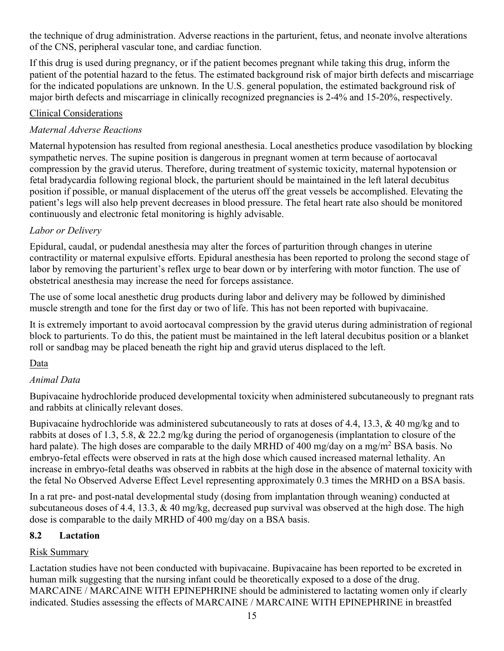the technique of drug administration. Adverse reactions in the parturient, fetus, and neonate involve alterations of the CNS, peripheral vascular tone, and cardiac function.

If this drug is used during pregnancy, or if the patient becomes pregnant while taking this drug, inform the patient of the potential hazard to the fetus. The estimated background risk of major birth defects and miscarriage for the indicated populations are unknown. In the U.S. general population, the estimated background risk of major birth defects and miscarriage in clinically recognized pregnancies is 2-4% and 15-20%, respectively.

#### Clinical Considerations

### *Maternal Adverse Reactions*

Maternal hypotension has resulted from regional anesthesia. Local anesthetics produce vasodilation by blocking sympathetic nerves. The supine position is dangerous in pregnant women at term because of aortocaval compression by the gravid uterus. Therefore, during treatment of systemic toxicity, maternal hypotension or fetal bradycardia following regional block, the parturient should be maintained in the left lateral decubitus position if possible, or manual displacement of the uterus off the great vessels be accomplished. Elevating the patient's legs will also help prevent decreases in blood pressure. The fetal heart rate also should be monitored continuously and electronic fetal monitoring is highly advisable.

### *Labor or Delivery*

Epidural, caudal, or pudendal anesthesia may alter the forces of parturition through changes in uterine contractility or maternal expulsive efforts. Epidural anesthesia has been reported to prolong the second stage of labor by removing the parturient's reflex urge to bear down or by interfering with motor function. The use of obstetrical anesthesia may increase the need for forceps assistance.

The use of some local anesthetic drug products during labor and delivery may be followed by diminished muscle strength and tone for the first day or two of life. This has not been reported with bupivacaine.

It is extremely important to avoid aortocaval compression by the gravid uterus during administration of regional block to parturients. To do this, the patient must be maintained in the left lateral decubitus position or a blanket roll or sandbag may be placed beneath the right hip and gravid uterus displaced to the left.

## Data

### *Animal Data*

Bupivacaine hydrochloride produced developmental toxicity when administered subcutaneously to pregnant rats and rabbits at clinically relevant doses.

Bupivacaine hydrochloride was administered subcutaneously to rats at doses of 4.4, 13.3, & 40 mg/kg and to rabbits at doses of 1.3, 5.8, & 22.2 mg/kg during the period of organogenesis (implantation to closure of the hard palate). The high doses are comparable to the daily MRHD of 400 mg/day on a mg/m<sup>2</sup> BSA basis. No embryo-fetal effects were observed in rats at the high dose which caused increased maternal lethality. An increase in embryo-fetal deaths was observed in rabbits at the high dose in the absence of maternal toxicity with the fetal No Observed Adverse Effect Level representing approximately 0.3 times the MRHD on a BSA basis.

In a rat pre- and post-natal developmental study (dosing from implantation through weaning) conducted at subcutaneous doses of 4.4, 13.3, & 40 mg/kg, decreased pup survival was observed at the high dose. The high dose is comparable to the daily MRHD of 400 mg/day on a BSA basis.

### **8.2 Lactation**

### Risk Summary

Lactation studies have not been conducted with bupivacaine. Bupivacaine has been reported to be excreted in human milk suggesting that the nursing infant could be theoretically exposed to a dose of the drug. MARCAINE / MARCAINE WITH EPINEPHRINE should be administered to lactating women only if clearly indicated. Studies assessing the effects of MARCAINE / MARCAINE WITH EPINEPHRINE in breastfed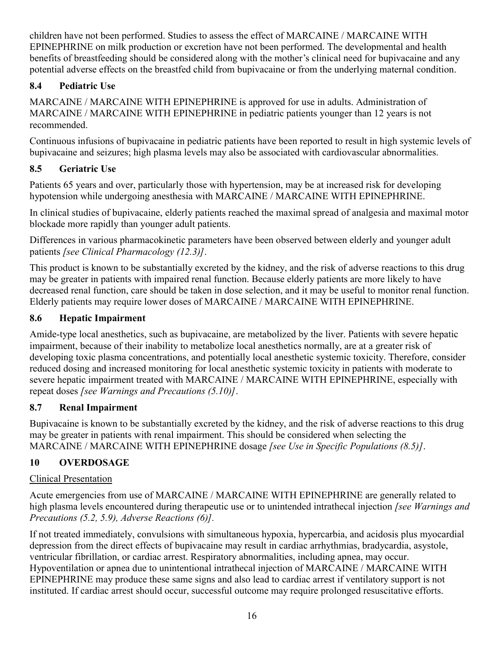children have not been performed. Studies to assess the effect of MARCAINE / MARCAINE WITH EPINEPHRINE on milk production or excretion have not been performed. The developmental and health benefits of breastfeeding should be considered along with the mother's clinical need for bupivacaine and any potential adverse effects on the breastfed child from bupivacaine or from the underlying maternal condition.

## **8.4 Pediatric Use**

MARCAINE / MARCAINE WITH EPINEPHRINE is approved for use in adults. Administration of MARCAINE / MARCAINE WITH EPINEPHRINE in pediatric patients younger than 12 years is not recommended.

Continuous infusions of bupivacaine in pediatric patients have been reported to result in high systemic levels of bupivacaine and seizures; high plasma levels may also be associated with cardiovascular abnormalities.

# **8.5 Geriatric Use**

Patients 65 years and over, particularly those with hypertension, may be at increased risk for developing hypotension while undergoing anesthesia with MARCAINE / MARCAINE WITH EPINEPHRINE.

In clinical studies of bupivacaine, elderly patients reached the maximal spread of analgesia and maximal motor blockade more rapidly than younger adult patients.

Differences in various pharmacokinetic parameters have been observed between elderly and younger adult patients *[see Clinical Pharmacology (12.3)]*.

This product is known to be substantially excreted by the kidney, and the risk of adverse reactions to this drug may be greater in patients with impaired renal function. Because elderly patients are more likely to have decreased renal function, care should be taken in dose selection, and it may be useful to monitor renal function. Elderly patients may require lower doses of MARCAINE / MARCAINE WITH EPINEPHRINE.

## **8.6 Hepatic Impairment**

Amide-type local anesthetics, such as bupivacaine, are metabolized by the liver. Patients with severe hepatic impairment, because of their inability to metabolize local anesthetics normally, are at a greater risk of developing toxic plasma concentrations, and potentially local anesthetic systemic toxicity. Therefore, consider reduced dosing and increased monitoring for local anesthetic systemic toxicity in patients with moderate to severe hepatic impairment treated with MARCAINE / MARCAINE WITH EPINEPHRINE, especially with repeat doses *[see Warnings and Precautions (5.10)]*.

# **8.7 Renal Impairment**

Bupivacaine is known to be substantially excreted by the kidney, and the risk of adverse reactions to this drug may be greater in patients with renal impairment. This should be considered when selecting the MARCAINE / MARCAINE WITH EPINEPHRINE dosage *[see Use in Specific Populations (8.5)]*.

# **10 OVERDOSAGE**

# Clinical Presentation

Acute emergencies from use of MARCAINE / MARCAINE WITH EPINEPHRINE are generally related to high plasma levels encountered during therapeutic use or to unintended intrathecal injection *[see Warnings and Precautions (5.2, 5.9), Adverse Reactions (6)].*

If not treated immediately, convulsions with simultaneous hypoxia, hypercarbia, and acidosis plus myocardial depression from the direct effects of bupivacaine may result in cardiac arrhythmias, bradycardia, asystole, ventricular fibrillation, or cardiac arrest. Respiratory abnormalities, including apnea, may occur. Hypoventilation or apnea due to unintentional intrathecal injection of MARCAINE / MARCAINE WITH EPINEPHRINE may produce these same signs and also lead to cardiac arrest if ventilatory support is not instituted. If cardiac arrest should occur, successful outcome may require prolonged resuscitative efforts.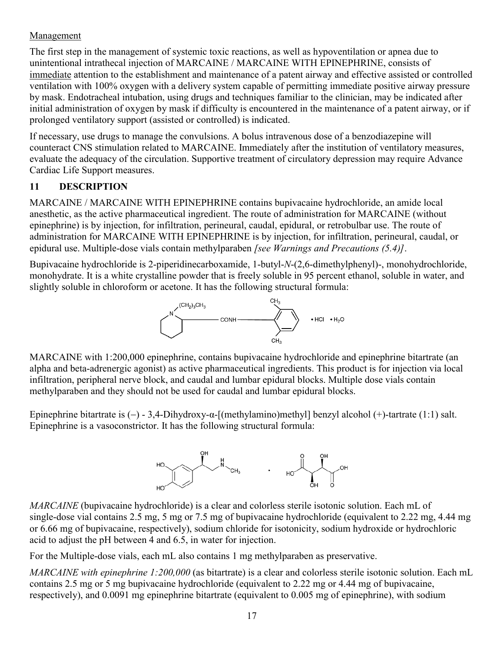### Management

The first step in the management of systemic toxic reactions, as well as hypoventilation or apnea due to unintentional intrathecal injection of MARCAINE / MARCAINE WITH EPINEPHRINE, consists of immediate attention to the establishment and maintenance of a patent airway and effective assisted or controlled ventilation with 100% oxygen with a delivery system capable of permitting immediate positive airway pressure by mask. Endotracheal intubation, using drugs and techniques familiar to the clinician, may be indicated after initial administration of oxygen by mask if difficulty is encountered in the maintenance of a patent airway, or if prolonged ventilatory support (assisted or controlled) is indicated.

If necessary, use drugs to manage the convulsions. A bolus intravenous dose of a benzodiazepine will counteract CNS stimulation related to MARCAINE. Immediately after the institution of ventilatory measures, evaluate the adequacy of the circulation. Supportive treatment of circulatory depression may require Advance Cardiac Life Support measures.

## **11 DESCRIPTION**

MARCAINE / MARCAINE WITH EPINEPHRINE contains bupivacaine hydrochloride, an amide local anesthetic, as the active pharmaceutical ingredient. The route of administration for MARCAINE (without epinephrine) is by injection, for infiltration, perineural, caudal, epidural, or retrobulbar use. The route of administration for MARCAINE WITH EPINEPHRINE is by injection, for infiltration, perineural, caudal, or epidural use. Multiple-dose vials contain methylparaben *[see Warnings and Precautions (5.4)]*.

Bupivacaine hydrochloride is 2-piperidinecarboxamide, 1-butyl-*N*-(2,6-dimethylphenyl)-, monohydrochloride, monohydrate. It is a white crystalline powder that is freely soluble in 95 percent ethanol, soluble in water, and slightly soluble in chloroform or acetone. It has the following structural formula:



MARCAINE with 1:200,000 epinephrine, contains bupivacaine hydrochloride and epinephrine bitartrate (an alpha and beta-adrenergic agonist) as active pharmaceutical ingredients. This product is for injection via local infiltration, peripheral nerve block, and caudal and lumbar epidural blocks. Multiple dose vials contain methylparaben and they should not be used for caudal and lumbar epidural blocks.

Epinephrine bitartrate is  $(-)$  - 3,4-Dihydroxy- $\alpha$ -[(methylamino)methyl] benzyl alcohol  $(+)$ -tartrate (1:1) salt. Epinephrine is a vasoconstrictor. It has the following structural formula:



*MARCAINE* (bupivacaine hydrochloride) is a clear and colorless sterile isotonic solution. Each mL of single-dose vial contains 2.5 mg, 5 mg or 7.5 mg of bupivacaine hydrochloride (equivalent to 2.22 mg, 4.44 mg or 6.66 mg of bupivacaine, respectively), sodium chloride for isotonicity, sodium hydroxide or hydrochloric acid to adjust the pH between 4 and 6.5, in water for injection.

For the Multiple-dose vials, each mL also contains 1 mg methylparaben as preservative.

*MARCAINE with epinephrine 1:200,000* (as bitartrate) is a clear and colorless sterile isotonic solution. Each mL contains 2.5 mg or 5 mg bupivacaine hydrochloride (equivalent to 2.22 mg or 4.44 mg of bupivacaine, respectively), and 0.0091 mg epinephrine bitartrate (equivalent to 0.005 mg of epinephrine), with sodium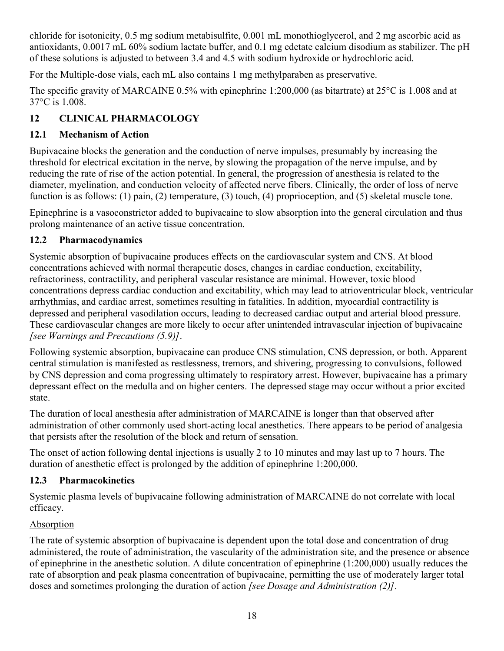chloride for isotonicity, 0.5 mg sodium metabisulfite, 0.001 mL monothioglycerol, and 2 mg ascorbic acid as antioxidants, 0.0017 mL 60% sodium lactate buffer, and 0.1 mg edetate calcium disodium as stabilizer. The pH of these solutions is adjusted to between 3.4 and 4.5 with sodium hydroxide or hydrochloric acid.

For the Multiple-dose vials, each mL also contains 1 mg methylparaben as preservative.

The specific gravity of MARCAINE 0.5% with epinephrine 1:200,000 (as bitartrate) at 25°C is 1.008 and at 37°C is 1.008.

# **12 CLINICAL PHARMACOLOGY**

# **12.1 Mechanism of Action**

Bupivacaine blocks the generation and the conduction of nerve impulses, presumably by increasing the threshold for electrical excitation in the nerve, by slowing the propagation of the nerve impulse, and by reducing the rate of rise of the action potential. In general, the progression of anesthesia is related to the diameter, myelination, and conduction velocity of affected nerve fibers. Clinically, the order of loss of nerve function is as follows: (1) pain, (2) temperature, (3) touch, (4) proprioception, and (5) skeletal muscle tone.

Epinephrine is a vasoconstrictor added to bupivacaine to slow absorption into the general circulation and thus prolong maintenance of an active tissue concentration.

# **12.2 Pharmacodynamics**

Systemic absorption of bupivacaine produces effects on the cardiovascular system and CNS. At blood concentrations achieved with normal therapeutic doses, changes in cardiac conduction, excitability, refractoriness, contractility, and peripheral vascular resistance are minimal. However, toxic blood concentrations depress cardiac conduction and excitability, which may lead to atrioventricular block, ventricular arrhythmias, and cardiac arrest, sometimes resulting in fatalities. In addition, myocardial contractility is depressed and peripheral vasodilation occurs, leading to decreased cardiac output and arterial blood pressure. These cardiovascular changes are more likely to occur after unintended intravascular injection of bupivacaine *[see Warnings and Precautions (5.9)]*.

Following systemic absorption, bupivacaine can produce CNS stimulation, CNS depression, or both. Apparent central stimulation is manifested as restlessness, tremors, and shivering, progressing to convulsions, followed by CNS depression and coma progressing ultimately to respiratory arrest. However, bupivacaine has a primary depressant effect on the medulla and on higher centers. The depressed stage may occur without a prior excited state.

The duration of local anesthesia after administration of MARCAINE is longer than that observed after administration of other commonly used short-acting local anesthetics. There appears to be period of analgesia that persists after the resolution of the block and return of sensation.

The onset of action following dental injections is usually 2 to 10 minutes and may last up to 7 hours. The duration of anesthetic effect is prolonged by the addition of epinephrine 1:200,000.

# **12.3 Pharmacokinetics**

Systemic plasma levels of bupivacaine following administration of MARCAINE do not correlate with local efficacy.

# Absorption

The rate of systemic absorption of bupivacaine is dependent upon the total dose and concentration of drug administered, the route of administration, the vascularity of the administration site, and the presence or absence of epinephrine in the anesthetic solution. A dilute concentration of epinephrine (1:200,000) usually reduces the rate of absorption and peak plasma concentration of bupivacaine, permitting the use of moderately larger total doses and sometimes prolonging the duration of action *[see Dosage and Administration (2)]*.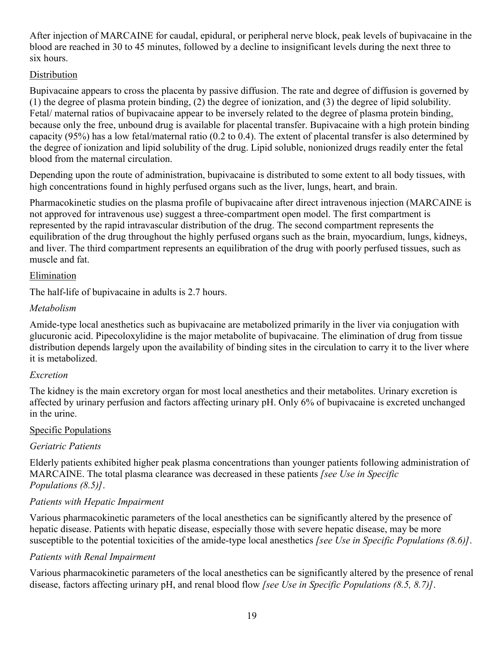After injection of MARCAINE for caudal, epidural, or peripheral nerve block, peak levels of bupivacaine in the blood are reached in 30 to 45 minutes, followed by a decline to insignificant levels during the next three to six hours.

### **Distribution**

Bupivacaine appears to cross the placenta by passive diffusion. The rate and degree of diffusion is governed by (1) the degree of plasma protein binding, (2) the degree of ionization, and (3) the degree of lipid solubility. Fetal/ maternal ratios of bupivacaine appear to be inversely related to the degree of plasma protein binding, because only the free, unbound drug is available for placental transfer. Bupivacaine with a high protein binding capacity (95%) has a low fetal/maternal ratio (0.2 to 0.4). The extent of placental transfer is also determined by the degree of ionization and lipid solubility of the drug. Lipid soluble, nonionized drugs readily enter the fetal blood from the maternal circulation.

Depending upon the route of administration, bupivacaine is distributed to some extent to all body tissues, with high concentrations found in highly perfused organs such as the liver, lungs, heart, and brain.

Pharmacokinetic studies on the plasma profile of bupivacaine after direct intravenous injection (MARCAINE is not approved for intravenous use) suggest a three-compartment open model. The first compartment is represented by the rapid intravascular distribution of the drug. The second compartment represents the equilibration of the drug throughout the highly perfused organs such as the brain, myocardium, lungs, kidneys, and liver. The third compartment represents an equilibration of the drug with poorly perfused tissues, such as muscle and fat.

### Elimination

The half-life of bupivacaine in adults is 2.7 hours.

### *Metabolism*

Amide-type local anesthetics such as bupivacaine are metabolized primarily in the liver via conjugation with glucuronic acid. Pipecoloxylidine is the major metabolite of bupivacaine. The elimination of drug from tissue distribution depends largely upon the availability of binding sites in the circulation to carry it to the liver where it is metabolized.

### *Excretion*

The kidney is the main excretory organ for most local anesthetics and their metabolites. Urinary excretion is affected by urinary perfusion and factors affecting urinary pH. Only 6% of bupivacaine is excreted unchanged in the urine.

### Specific Populations

### *Geriatric Patients*

Elderly patients exhibited higher peak plasma concentrations than younger patients following administration of MARCAINE. The total plasma clearance was decreased in these patients *[see Use in Specific Populations (8.5)]*.

### *Patients with Hepatic Impairment*

Various pharmacokinetic parameters of the local anesthetics can be significantly altered by the presence of hepatic disease. Patients with hepatic disease, especially those with severe hepatic disease, may be more susceptible to the potential toxicities of the amide-type local anesthetics *[see Use in Specific Populations (8.6)]*.

### *Patients with Renal Impairment*

Various pharmacokinetic parameters of the local anesthetics can be significantly altered by the presence of renal disease, factors affecting urinary pH, and renal blood flow *[see Use in Specific Populations (8.5, 8.7)]*.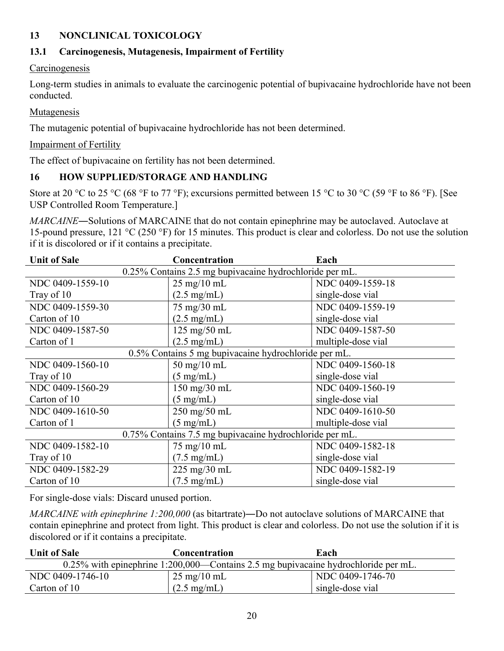### **13 NONCLINICAL TOXICOLOGY**

### **13.1 Carcinogenesis, Mutagenesis, Impairment of Fertility**

#### Carcinogenesis

Long-term studies in animals to evaluate the carcinogenic potential of bupivacaine hydrochloride have not been conducted.

#### Mutagenesis

The mutagenic potential of bupivacaine hydrochloride has not been determined.

#### Impairment of Fertility

The effect of bupivacaine on fertility has not been determined.

### **16 HOW SUPPLIED/STORAGE AND HANDLING**

Store at 20 °C to 25 °C (68 °F to 77 °F); excursions permitted between 15 °C to 30 °C (59 °F to 86 °F). [See USP Controlled Room Temperature.]

*MARCAINE*―Solutions of MARCAINE that do not contain epinephrine may be autoclaved. Autoclave at 15-pound pressure, 121 °C (250 °F) for 15 minutes. This product is clear and colorless. Do not use the solution if it is discolored or if it contains a precipitate.

| <b>Unit of Sale</b>                                     | <b>Concentration</b>                                 | Each               |  |  |
|---------------------------------------------------------|------------------------------------------------------|--------------------|--|--|
| 0.25% Contains 2.5 mg bupivacaine hydrochloride per mL. |                                                      |                    |  |  |
| NDC 0409-1559-10                                        | $25 \text{ mg}/10 \text{ mL}$                        | NDC 0409-1559-18   |  |  |
| Tray of 10                                              | $(2.5 \text{ mg/mL})$                                | single-dose vial   |  |  |
| NDC 0409-1559-30                                        | 75 mg/30 mL                                          | NDC 0409-1559-19   |  |  |
| Carton of 10                                            | $(2.5 \text{ mg/mL})$                                | single-dose vial   |  |  |
| NDC 0409-1587-50                                        | 125 mg/50 mL                                         | NDC 0409-1587-50   |  |  |
| Carton of 1                                             | $(2.5 \text{ mg/mL})$                                | multiple-dose vial |  |  |
|                                                         | 0.5% Contains 5 mg bupivacaine hydrochloride per mL. |                    |  |  |
| NDC 0409-1560-10                                        | $50$ mg/ $10$ mL                                     | NDC 0409-1560-18   |  |  |
| Tray of 10                                              | $(5 \text{ mg/mL})$                                  | single-dose vial   |  |  |
| NDC 0409-1560-29                                        | 150 mg/30 mL                                         | NDC 0409-1560-19   |  |  |
| Carton of 10                                            | $(5 \text{ mg/mL})$                                  | single-dose vial   |  |  |
| NDC 0409-1610-50                                        | 250 mg/50 mL                                         | NDC 0409-1610-50   |  |  |
| Carton of 1                                             | $(5 \text{ mg/mL})$                                  | multiple-dose vial |  |  |
| 0.75% Contains 7.5 mg bupivacaine hydrochloride per mL. |                                                      |                    |  |  |
| NDC 0409-1582-10                                        | 75 mg/10 mL                                          | NDC 0409-1582-18   |  |  |
| Tray of 10                                              | $(7.5 \text{ mg/mL})$                                | single-dose vial   |  |  |
| NDC 0409-1582-29                                        | $225 \text{ mg}/30 \text{ mL}$                       | NDC 0409-1582-19   |  |  |
| Carton of 10                                            | $(7.5 \text{ mg/mL})$                                | single-dose vial   |  |  |

For single-dose vials: Discard unused portion.

*MARCAINE with epinephrine 1:200,000* (as bitartrate)―Do not autoclave solutions of MARCAINE that contain epinephrine and protect from light. This product is clear and colorless. Do not use the solution if it is discolored or if it contains a precipitate.

| <b>Unit of Sale</b>                                                                   | Concentration                 | Each             |  |  |
|---------------------------------------------------------------------------------------|-------------------------------|------------------|--|--|
| $0.25\%$ with epinephrine 1:200,000—Contains 2.5 mg bupivacaine hydrochloride per mL. |                               |                  |  |  |
| NDC 0409-1746-10                                                                      | $25 \text{ mg}/10 \text{ mL}$ | NDC 0409-1746-70 |  |  |
| Carton of 10                                                                          | $(2.5 \text{ mg/mL})$         | single-dose vial |  |  |